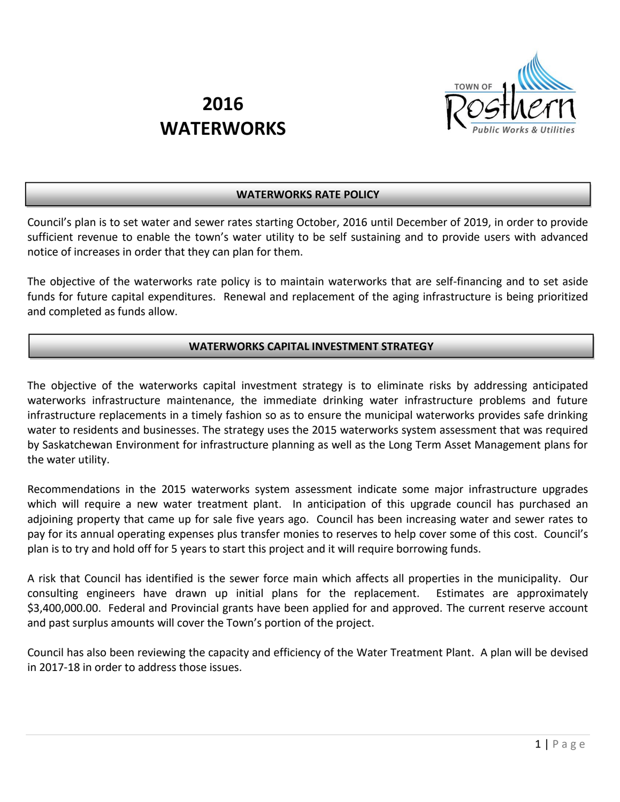

# **2016 WATERWORKS**

## **WATERWORKS RATE POLICY**

Council's plan is to set water and sewer rates starting October, 2016 until December of 2019, in order to provide sufficient revenue to enable the town's water utility to be self sustaining and to provide users with advanced notice of increases in order that they can plan for them.

The objective of the waterworks rate policy is to maintain waterworks that are self-financing and to set aside funds for future capital expenditures. Renewal and replacement of the aging infrastructure is being prioritized and completed as funds allow.

## **WATERWORKS CAPITAL INVESTMENT STRATEGY**

The objective of the waterworks capital investment strategy is to eliminate risks by addressing anticipated waterworks infrastructure maintenance, the immediate drinking water infrastructure problems and future infrastructure replacements in a timely fashion so as to ensure the municipal waterworks provides safe drinking water to residents and businesses. The strategy uses the 2015 waterworks system assessment that was required by Saskatchewan Environment for infrastructure planning as well as the Long Term Asset Management plans for the water utility.

Recommendations in the 2015 waterworks system assessment indicate some major infrastructure upgrades which will require a new water treatment plant. In anticipation of this upgrade council has purchased an adjoining property that came up for sale five years ago. Council has been increasing water and sewer rates to pay for its annual operating expenses plus transfer monies to reserves to help cover some of this cost. Council's plan is to try and hold off for 5 years to start this project and it will require borrowing funds.

A risk that Council has identified is the sewer force main which affects all properties in the municipality. Our consulting engineers have drawn up initial plans for the replacement. Estimates are approximately \$3,400,000.00. Federal and Provincial grants have been applied for and approved. The current reserve account and past surplus amounts will cover the Town's portion of the project.

Council has also been reviewing the capacity and efficiency of the Water Treatment Plant. A plan will be devised in 2017-18 in order to address those issues.